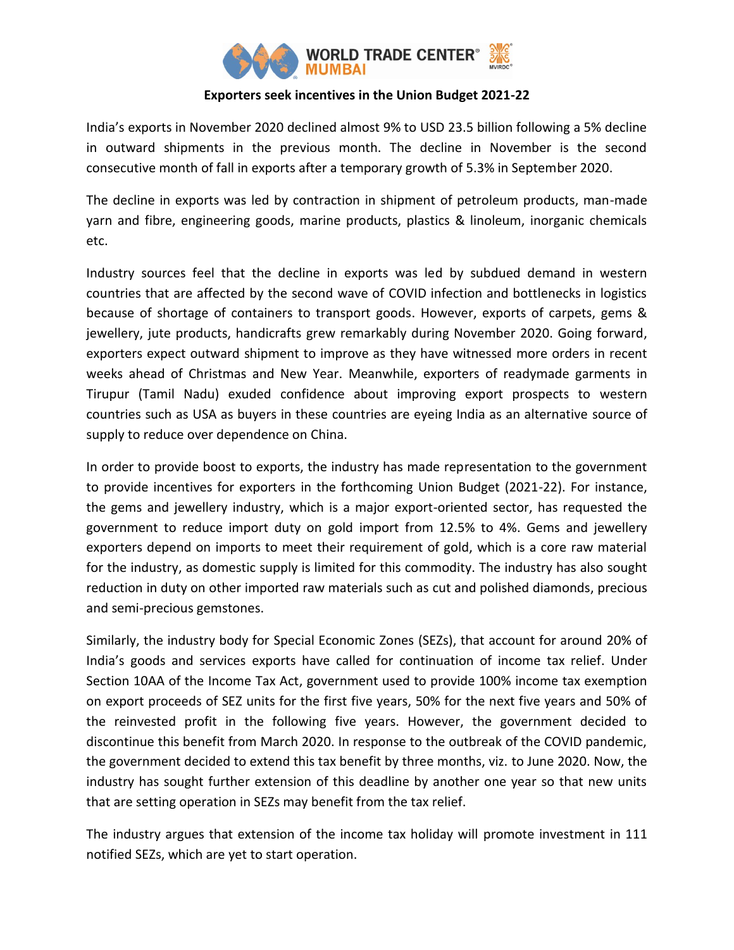

# **Exporters seek incentives in the Union Budget 2021-22**

India's exports in November 2020 declined almost 9% to USD 23.5 billion following a 5% decline in outward shipments in the previous month. The decline in November is the second consecutive month of fall in exports after a temporary growth of 5.3% in September 2020.

The decline in exports was led by contraction in shipment of petroleum products, man-made yarn and fibre, engineering goods, marine products, plastics & linoleum, inorganic chemicals etc.

Industry sources feel that the decline in exports was led by subdued demand in western countries that are affected by the second wave of COVID infection and bottlenecks in logistics because of shortage of containers to transport goods. However, exports of carpets, gems & jewellery, jute products, handicrafts grew remarkably during November 2020. Going forward, exporters expect outward shipment to improve as they have witnessed more orders in recent weeks ahead of Christmas and New Year. Meanwhile, exporters of readymade garments in Tirupur (Tamil Nadu) exuded confidence about improving export prospects to western countries such as USA as buyers in these countries are eyeing India as an alternative source of supply to reduce over dependence on China.

In order to provide boost to exports, the industry has made representation to the government to provide incentives for exporters in the forthcoming Union Budget (2021-22). For instance, the gems and jewellery industry, which is a major export-oriented sector, has requested the government to reduce import duty on gold import from 12.5% to 4%. Gems and jewellery exporters depend on imports to meet their requirement of gold, which is a core raw material for the industry, as domestic supply is limited for this commodity. The industry has also sought reduction in duty on other imported raw materials such as cut and polished diamonds, precious and semi-precious gemstones.

Similarly, the industry body for Special Economic Zones (SEZs), that account for around 20% of India's goods and services exports have called for continuation of income tax relief. Under Section 10AA of the Income Tax Act, government used to provide 100% income tax exemption on export proceeds of SEZ units for the first five years, 50% for the next five years and 50% of the reinvested profit in the following five years. However, the government decided to discontinue this benefit from March 2020. In response to the outbreak of the COVID pandemic, the government decided to extend this tax benefit by three months, viz. to June 2020. Now, the industry has sought further extension of this deadline by another one year so that new units that are setting operation in SEZs may benefit from the tax relief.

The industry argues that extension of the income tax holiday will promote investment in 111 notified SEZs, which are yet to start operation.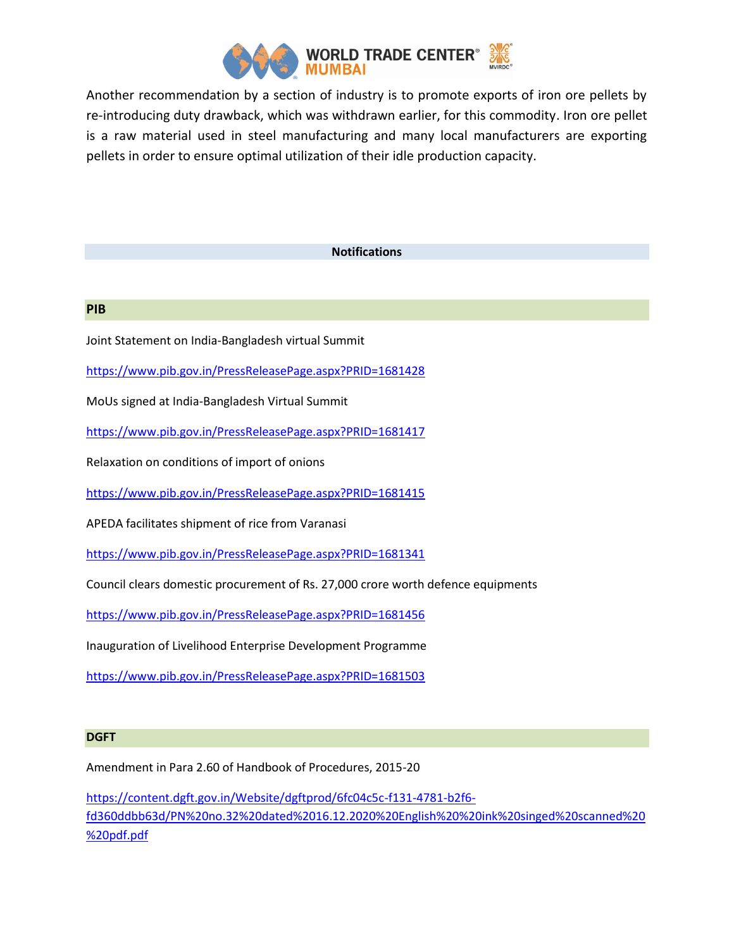

Another recommendation by a section of industry is to promote exports of iron ore pellets by re-introducing duty drawback, which was withdrawn earlier, for this commodity. Iron ore pellet is a raw material used in steel manufacturing and many local manufacturers are exporting pellets in order to ensure optimal utilization of their idle production capacity.

### **Notifications**

### **PIB**

Joint Statement on India-Bangladesh virtual Summit

<https://www.pib.gov.in/PressReleasePage.aspx?PRID=1681428>

MoUs signed at India-Bangladesh Virtual Summit

<https://www.pib.gov.in/PressReleasePage.aspx?PRID=1681417>

Relaxation on conditions of import of onions

<https://www.pib.gov.in/PressReleasePage.aspx?PRID=1681415>

APEDA facilitates shipment of rice from Varanasi

<https://www.pib.gov.in/PressReleasePage.aspx?PRID=1681341>

Council clears domestic procurement of Rs. 27,000 crore worth defence equipments

<https://www.pib.gov.in/PressReleasePage.aspx?PRID=1681456>

Inauguration of Livelihood Enterprise Development Programme

<https://www.pib.gov.in/PressReleasePage.aspx?PRID=1681503>

#### **DGFT**

Amendment in Para 2.60 of Handbook of Procedures, 2015-20

[https://content.dgft.gov.in/Website/dgftprod/6fc04c5c-f131-4781-b2f6](https://content.dgft.gov.in/Website/dgftprod/6fc04c5c-f131-4781-b2f6-fd360ddbb63d/PN%20no.32%20dated%2016.12.2020%20English%20%20ink%20singed%20scanned%20%20pdf.pdf) [fd360ddbb63d/PN%20no.32%20dated%2016.12.2020%20English%20%20ink%20singed%20scanned%20](https://content.dgft.gov.in/Website/dgftprod/6fc04c5c-f131-4781-b2f6-fd360ddbb63d/PN%20no.32%20dated%2016.12.2020%20English%20%20ink%20singed%20scanned%20%20pdf.pdf) [%20pdf.pdf](https://content.dgft.gov.in/Website/dgftprod/6fc04c5c-f131-4781-b2f6-fd360ddbb63d/PN%20no.32%20dated%2016.12.2020%20English%20%20ink%20singed%20scanned%20%20pdf.pdf)